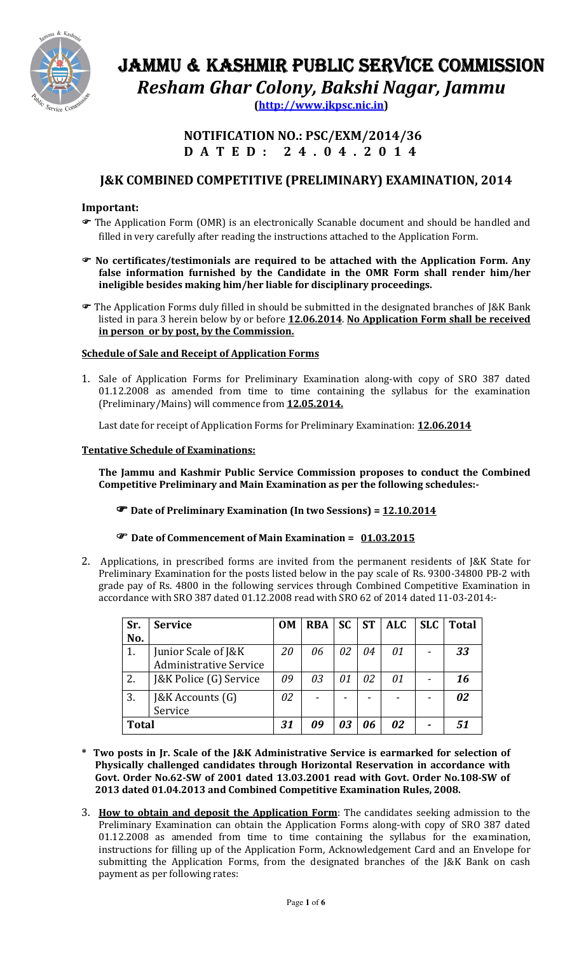

# JAMMU & KASHMIR PUBLIC SERVICE COMMISSION Resham Ghar Colony, Bakshi Nagar, Jammu

(http://www.jkpsc.nic.in)

## NOTIFICATION NO.: PSC/EXM/2014/36 D A T E D : 2 4 . 0 4 . 2 0 1 4

# J&K COMBINED COMPETITIVE (PRELIMINARY) EXAMINATION, 2014

### Important:

- The Application Form (OMR) is an electronically Scanable document and should be handled and filled in very carefully after reading the instructions attached to the Application Form.
- No certificates/testimonials are required to be attached with the Application Form. Any false information furnished by the Candidate in the OMR Form shall render him/her ineligible besides making him/her liable for disciplinary proceedings.
- The Application Forms duly filled in should be submitted in the designated branches of J&K Bank listed in para 3 herein below by or before 12.06.2014. No Application Form shall be received in person or by post, by the Commission.

### Schedule of Sale and Receipt of Application Forms

1. Sale of Application Forms for Preliminary Examination along-with copy of SRO 387 dated 01.12.2008 as amended from time to time containing the syllabus for the examination (Preliminary/Mains) will commence from 12.05.2014.

Last date for receipt of Application Forms for Preliminary Examination: 12.06.2014

### Tentative Schedule of Examinations:

The Jammu and Kashmir Public Service Commission proposes to conduct the Combined Competitive Preliminary and Main Examination as per the following schedules:-

Date of Preliminary Examination (In two Sessions) = 12.10.2014

### The Date of Commencement of Main Examination = 01.03.2015

2. Applications, in prescribed forms are invited from the permanent residents of J&K State for Preliminary Examination for the posts listed below in the pay scale of Rs. 9300-34800 PB-2 with grade pay of Rs. 4800 in the following services through Combined Competitive Examination in accordance with SRO 387 dated 01.12.2008 read with SRO 62 of 2014 dated 11-03-2014:-

| Sr.          | <b>Service</b>                | <b>OM</b> | <b>RBA</b> | <b>SC</b> | <b>ST</b> | ALC | SLC | <b>Total</b> |
|--------------|-------------------------------|-----------|------------|-----------|-----------|-----|-----|--------------|
| No.          |                               |           |            |           |           |     |     |              |
| 1.           | Junior Scale of J&K           | 20        | 06         | 02        | 04        | 01  |     | 33           |
|              | <b>Administrative Service</b> |           |            |           |           |     |     |              |
| 2.           | J&K Police (G) Service        | 09        | 03         | 01        | 02        | 01  |     | 16           |
| 3.           | [&K Accounts (G)              | 02        |            |           |           |     |     | 02           |
|              | Service                       |           |            |           |           |     |     |              |
| <b>Total</b> |                               | 31        | Λ9         | 03        | 06        | 02  |     | 51           |

- \* Two posts in Jr. Scale of the J&K Administrative Service is earmarked for selection of Physically challenged candidates through Horizontal Reservation in accordance with Govt. Order No.62-SW of 2001 dated 13.03.2001 read with Govt. Order No.108-SW of 2013 dated 01.04.2013 and Combined Competitive Examination Rules, 2008.
- 3. How to obtain and deposit the Application Form: The candidates seeking admission to the Preliminary Examination can obtain the Application Forms along-with copy of SRO 387 dated 01.12.2008 as amended from time to time containing the syllabus for the examination, instructions for filling up of the Application Form, Acknowledgement Card and an Envelope for submitting the Application Forms, from the designated branches of the J&K Bank on cash payment as per following rates: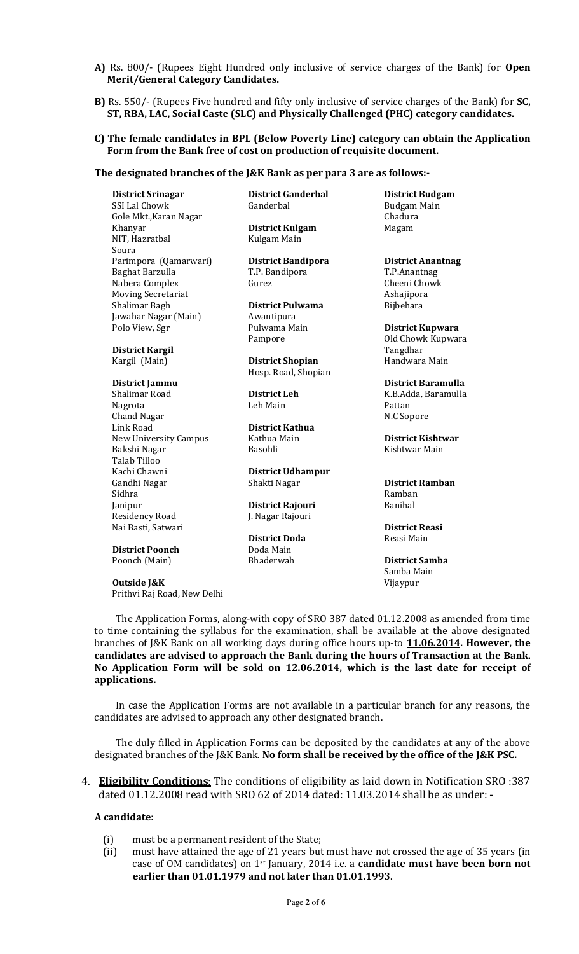- A) Rs. 800/- (Rupees Eight Hundred only inclusive of service charges of the Bank) for Open Merit/General Category Candidates.
- B) Rs. 550/- (Rupees Five hundred and fifty only inclusive of service charges of the Bank) for SC, ST, RBA, LAC, Social Caste (SLC) and Physically Challenged (PHC) category candidates.

#### C) The female candidates in BPL (Below Poverty Line) category can obtain the Application Form from the Bank free of cost on production of requisite document.

#### The designated branches of the J&K Bank as per para 3 are as follows:-

District Srinagar District Ganderbal District Budgam SSI Lal Chowk **Ganderbal** Ganderbal Budgam Main Gole Mkt., Karan Nagar **Chadura** Chadura Khanyar **District Kulgam** Magam NIT, Hazratbal Kulgam Main Soura Parimpora (Qamarwari) **District Bandipora District Anantnag** Baghat Barzulla T.P. Bandipora T.P.Anantnag Nabera Complex **Gurez** Gurez **Gurez** Cheeni Chowk Moving Secretariat **Ashajipora** Ashajipora Shalimar Bagh **District Pulwama** Bijbehara Jawahar Nagar (Main) **Awantipura** Polo View, Sgr Pulwama Main District Kupwara

District Kargil Tangdhar

Nagrota **Calculation Communist Communist Communist Communist Communist Communist Communist Communist Communist Communist Pattan** Chand Nagar N.C Sopore Link Road **District Kathua** New University Campus Kathua Main **District Kishtwar** Bakshi Nagar **Basohli** Basohli Kishtwar Main Talab Tilloo Kachi Chawni **District Udhampur** Gandhi Nagar Shakti Nagar District Ramban Sidhra **Ramban** Janipur **District Rajouri** Banihal Residency Road J. Nagar Rajouri Nai Basti, Satwari **District Reasi** District Reasi District Reasi District Reasi District Reasi District Reasi District Doda

**District Poonch** Doda Main<br>
Poonch (Main) Bhaderwah Poonch (Main) Bhaderwah District Samba

Outside J&K Vijaypur Prithvi Raj Road, New Delhi

Kargil (Main) **District Shopian** Handwara Main Hosp. Road, Shopian

District Doda

Pampore **Old Chowk Kupwara** 

District Jammu District Baramulla District Leh K.B.Adda, Baramulla

Samba Main

The Application Forms, along-with copy of SRO 387 dated 01.12.2008 as amended from time to time containing the syllabus for the examination, shall be available at the above designated branches of J&K Bank on all working days during office hours up-to 11.06.2014. However, the candidates are advised to approach the Bank during the hours of Transaction at the Bank. No Application Form will be sold on 12.06.2014, which is the last date for receipt of applications.

In case the Application Forms are not available in a particular branch for any reasons, the candidates are advised to approach any other designated branch.

The duly filled in Application Forms can be deposited by the candidates at any of the above designated branches of the J&K Bank. No form shall be received by the office of the J&K PSC.

4. Eligibility Conditions: The conditions of eligibility as laid down in Notification SRO :387 dated 01.12.2008 read with SRO 62 of 2014 dated: 11.03.2014 shall be as under: -

#### A candidate:

- (i) must be a permanent resident of the State;
- (ii) must have attained the age of 21 years but must have not crossed the age of 35 years (in case of OM candidates) on 1<sup>st</sup> January, 2014 i.e. a **candidate must have been born not** earlier than 01.01.1979 and not later than 01.01.1993.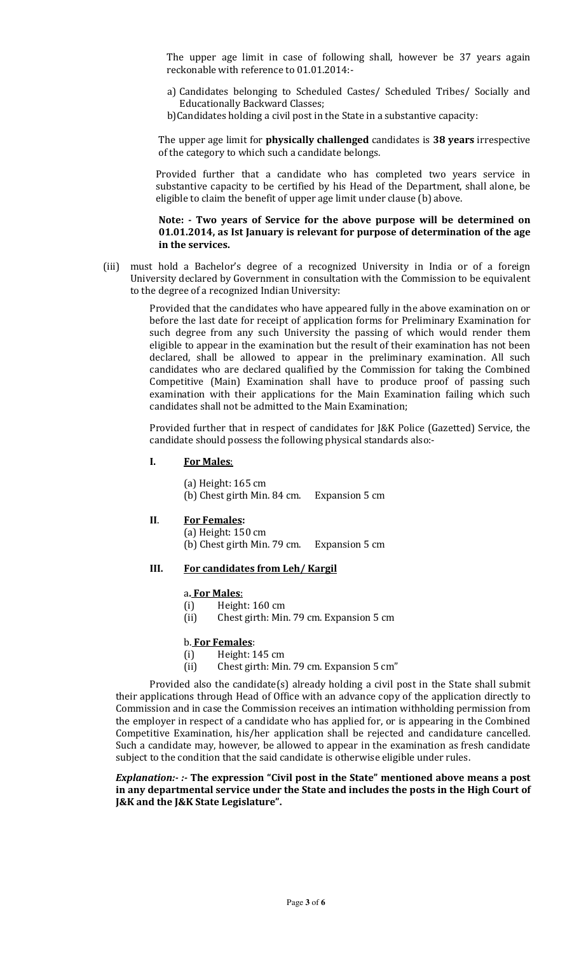The upper age limit in case of following shall, however be 37 years again reckonable with reference to 01.01.2014:-

- a) Candidates belonging to Scheduled Castes/ Scheduled Tribes/ Socially and Educationally Backward Classes;
- b)Candidates holding a civil post in the State in a substantive capacity:

The upper age limit for **physically challenged** candidates is 38 years irrespective of the category to which such a candidate belongs.

 Provided further that a candidate who has completed two years service in substantive capacity to be certified by his Head of the Department, shall alone, be eligible to claim the benefit of upper age limit under clause (b) above.

#### Note: - Two years of Service for the above purpose will be determined on 01.01.2014, as Ist January is relevant for purpose of determination of the age in the services.

(iii) must hold a Bachelor's degree of a recognized University in India or of a foreign University declared by Government in consultation with the Commission to be equivalent to the degree of a recognized Indian University:

> Provided that the candidates who have appeared fully in the above examination on or before the last date for receipt of application forms for Preliminary Examination for such degree from any such University the passing of which would render them eligible to appear in the examination but the result of their examination has not been declared, shall be allowed to appear in the preliminary examination. All such candidates who are declared qualified by the Commission for taking the Combined Competitive (Main) Examination shall have to produce proof of passing such examination with their applications for the Main Examination failing which such candidates shall not be admitted to the Main Examination;

> Provided further that in respect of candidates for J&K Police (Gazetted) Service, the candidate should possess the following physical standards also:-

#### I. For Males:

(a) Height: 165 cm (b) Chest girth Min. 84 cm. Expansion 5 cm

### II. For Females:

 (a) Height: 150 cm (b) Chest girth Min. 79 cm. Expansion 5 cm

#### III. For candidates from Leh/ Kargil

#### a. For Males:

- (i) Height: 160 cm
- (ii) Chest girth: Min. 79 cm. Expansion 5 cm

#### b. For Females:

- (i) Height: 145 cm
- (ii) Chest girth: Min. 79 cm. Expansion 5 cm"

Provided also the candidate(s) already holding a civil post in the State shall submit their applications through Head of Office with an advance copy of the application directly to Commission and in case the Commission receives an intimation withholding permission from the employer in respect of a candidate who has applied for, or is appearing in the Combined Competitive Examination, his/her application shall be rejected and candidature cancelled. Such a candidate may, however, be allowed to appear in the examination as fresh candidate subject to the condition that the said candidate is otherwise eligible under rules.

#### Explanation:- :- The expression "Civil post in the State" mentioned above means a post in any departmental service under the State and includes the posts in the High Court of J&K and the J&K State Legislature".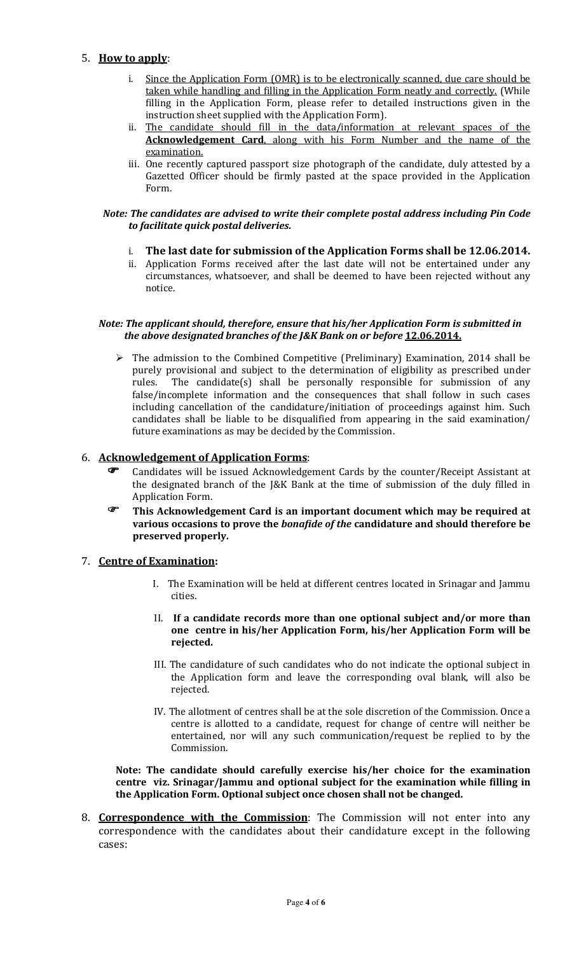### 5. How to apply:

- i. Since the Application Form (OMR) is to be electronically scanned, due care should be taken while handling and filling in the Application Form neatly and correctly. (While filling in the Application Form, please refer to detailed instructions given in the instruction sheet supplied with the Application Form).
- ii. The candidate should fill in the data/information at relevant spaces of the Acknowledgement Card, along with his Form Number and the name of the examination.
- iii. One recently captured passport size photograph of the candidate, duly attested by a Gazetted Officer should be firmly pasted at the space provided in the Application Form.

#### Note: The candidates are advised to write their complete postal address including Pin Code to facilitate quick postal deliveries.

- i. The last date for submission of the Application Forms shall be 12.06.2014.
- ii. Application Forms received after the last date will not be entertained under any circumstances, whatsoever, and shall be deemed to have been rejected without any notice.

### Note: The applicant should, therefore, ensure that his/her Application Form is submitted in the above designated branches of the J&K Bank on or before 12.06.2014.

> The admission to the Combined Competitive (Preliminary) Examination, 2014 shall be purely provisional and subject to the determination of eligibility as prescribed under rules. The candidate(s) shall be personally responsible for submission of any false/incomplete information and the consequences that shall follow in such cases including cancellation of the candidature/initiation of proceedings against him. Such candidates shall be liable to be disqualified from appearing in the said examination/ future examinations as may be decided by the Commission.

### 6. Acknowledgement of Application Forms:

- Candidates will be issued Acknowledgement Cards by the counter/Receipt Assistant at the designated branch of the J&K Bank at the time of submission of the duly filled in Application Form.
- This Acknowledgement Card is an important document which may be required at various occasions to prove the bonafide of the candidature and should therefore be preserved properly.

### 7. Centre of Examination:

- I. The Examination will be held at different centres located in Srinagar and Jammu cities.
- II. If a candidate records more than one optional subject and/or more than one centre in his/her Application Form, his/her Application Form will be rejected.
- III. The candidature of such candidates who do not indicate the optional subject in the Application form and leave the corresponding oval blank, will also be rejected.
- IV. The allotment of centres shall be at the sole discretion of the Commission. Once a centre is allotted to a candidate, request for change of centre will neither be entertained, nor will any such communication/request be replied to by the Commission.

Note: The candidate should carefully exercise his/her choice for the examination centre viz. Srinagar/Jammu and optional subject for the examination while filling in the Application Form. Optional subject once chosen shall not be changed.

8. **Correspondence with the Commission**: The Commission will not enter into any correspondence with the candidates about their candidature except in the following cases: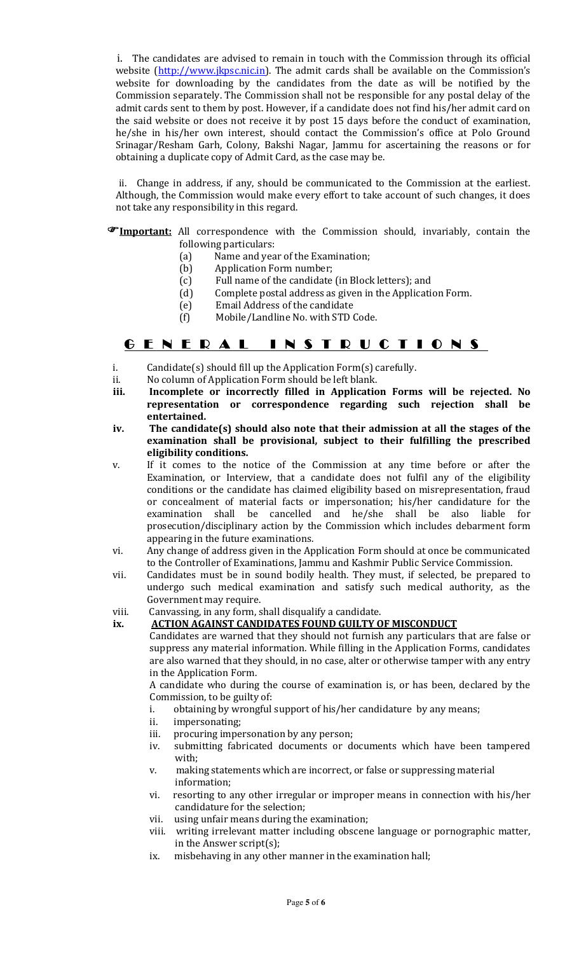i. The candidates are advised to remain in touch with the Commission through its official website (http://www.jkpsc.nic.in). The admit cards shall be available on the Commission's website for downloading by the candidates from the date as will be notified by the Commission separately. The Commission shall not be responsible for any postal delay of the admit cards sent to them by post. However, if a candidate does not find his/her admit card on the said website or does not receive it by post 15 days before the conduct of examination, he/she in his/her own interest, should contact the Commission's office at Polo Ground Srinagar/Resham Garh, Colony, Bakshi Nagar, Jammu for ascertaining the reasons or for obtaining a duplicate copy of Admit Card, as the case may be.

 ii. Change in address, if any, should be communicated to the Commission at the earliest. Although, the Commission would make every effort to take account of such changes, it does not take any responsibility in this regard.

#### **FImportant:** All correspondence with the Commission should, invariably, contain the following particulars:

- (a) Name and year of the Examination;<br>(b) Application Form number;
- (b) Application Form number;<br>(c) Full name of the candidate
	- Full name of the candidate (in Block letters); and
- (d) Complete postal address as given in the Application Form.
- (e) Email Address of the candidate
- (f) Mobile/Landline No. with STD Code.

# G E N E R A L INSTRUCTIONS

- i. Candidate(s) should fill up the Application Form(s) carefully.
- ii. No column of Application Form should be left blank.
- iii. Incomplete or incorrectly filled in Application Forms will be rejected. No representation or correspondence regarding such rejection shall be entertained.
- iv. The candidate(s) should also note that their admission at all the stages of the examination shall be provisional, subject to their fulfilling the prescribed eligibility conditions.
- v. If it comes to the notice of the Commission at any time before or after the Examination, or Interview, that a candidate does not fulfil any of the eligibility conditions or the candidate has claimed eligibility based on misrepresentation, fraud or concealment of material facts or impersonation; his/her candidature for the examination shall be cancelled and he/she shall be also liable for prosecution/disciplinary action by the Commission which includes debarment form appearing in the future examinations.
- vi. Any change of address given in the Application Form should at once be communicated to the Controller of Examinations, Jammu and Kashmir Public Service Commission.
- vii. Candidates must be in sound bodily health. They must, if selected, be prepared to undergo such medical examination and satisfy such medical authority, as the Government may require.
- viii. Canvassing, in any form, shall disqualify a candidate.

#### ix. ACTION AGAINST CANDIDATES FOUND GUILTY OF MISCONDUCT

Candidates are warned that they should not furnish any particulars that are false or suppress any material information. While filling in the Application Forms, candidates are also warned that they should, in no case, alter or otherwise tamper with any entry in the Application Form.

A candidate who during the course of examination is, or has been, declared by the Commission, to be guilty of:

- i. obtaining by wrongful support of his/her candidature by any means;
- ii. impersonating;
- iii. procuring impersonation by any person;
- iv. submitting fabricated documents or documents which have been tampered with;
- v. making statements which are incorrect, or false or suppressing material information;
- vi. resorting to any other irregular or improper means in connection with his/her candidature for the selection;
- vii. using unfair means during the examination;
- viii. writing irrelevant matter including obscene language or pornographic matter, in the Answer script(s);
- ix. misbehaving in any other manner in the examination hall;